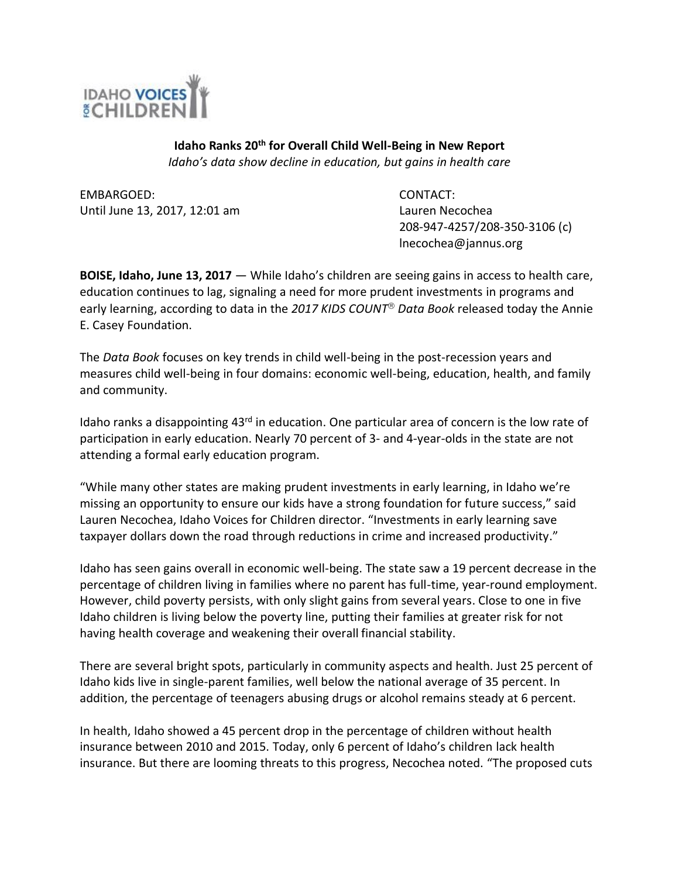

**Idaho Ranks 20th for Overall Child Well-Being in New Report** *Idaho's data show decline in education, but gains in health care*

EMBARGOED: CONTACT: Until June 13, 2017, 12:01 am Lauren Necochea

208-947-4257/208-350-3106 (c) lnecochea@jannus.org

**BOISE, Idaho, June 13, 2017** — While Idaho's children are seeing gains in access to health care, education continues to lag, signaling a need for more prudent investments in programs and early learning, according to data in the 2017 KIDS COUNT<sup>®</sup> Data Book released today the Annie E. Casey Foundation.

The *Data Book* focuses on key trends in child well-being in the post-recession years and measures child well-being in four domains: economic well-being, education, health, and family and community.

Idaho ranks a disappointing 43<sup>rd</sup> in education. One particular area of concern is the low rate of participation in early education. Nearly 70 percent of 3- and 4-year-olds in the state are not attending a formal early education program.

"While many other states are making prudent investments in early learning, in Idaho we're missing an opportunity to ensure our kids have a strong foundation for future success," said Lauren Necochea, Idaho Voices for Children director. "Investments in early learning save taxpayer dollars down the road through reductions in crime and increased productivity."

Idaho has seen gains overall in economic well-being. The state saw a 19 percent decrease in the percentage of children living in families where no parent has full-time, year-round employment. However, child poverty persists, with only slight gains from several years. Close to one in five Idaho children is living below the poverty line, putting their families at greater risk for not having health coverage and weakening their overall financial stability.

There are several bright spots, particularly in community aspects and health. Just 25 percent of Idaho kids live in single-parent families, well below the national average of 35 percent. In addition, the percentage of teenagers abusing drugs or alcohol remains steady at 6 percent.

In health, Idaho showed a 45 percent drop in the percentage of children without health insurance between 2010 and 2015. Today, only 6 percent of Idaho's children lack health insurance. But there are looming threats to this progress, Necochea noted. "The proposed cuts